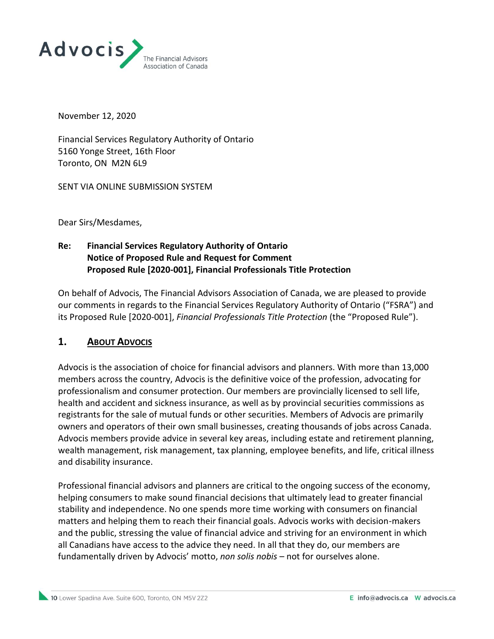

November 12, 2020

Financial Services Regulatory Authority of Ontario 5160 Yonge Street, 16th Floor Toronto, ON M2N 6L9

SENT VIA ONLINE SUBMISSION SYSTEM

Dear Sirs/Mesdames,

## **Re: Financial Services Regulatory Authority of Ontario Notice of Proposed Rule and Request for Comment Proposed Rule [2020-001], Financial Professionals Title Protection**

On behalf of Advocis, The Financial Advisors Association of Canada, we are pleased to provide our comments in regards to the Financial Services Regulatory Authority of Ontario ("FSRA") and its Proposed Rule [2020-001], *Financial Professionals Title Protection* (the "Proposed Rule").

### **1. ABOUT ADVOCIS**

Advocis is the association of choice for financial advisors and planners. With more than 13,000 members across the country, Advocis is the definitive voice of the profession, advocating for professionalism and consumer protection. Our members are provincially licensed to sell life, health and accident and sickness insurance, as well as by provincial securities commissions as registrants for the sale of mutual funds or other securities. Members of Advocis are primarily owners and operators of their own small businesses, creating thousands of jobs across Canada. Advocis members provide advice in several key areas, including estate and retirement planning, wealth management, risk management, tax planning, employee benefits, and life, critical illness and disability insurance.

Professional financial advisors and planners are critical to the ongoing success of the economy, helping consumers to make sound financial decisions that ultimately lead to greater financial stability and independence. No one spends more time working with consumers on financial matters and helping them to reach their financial goals. Advocis works with decision-makers and the public, stressing the value of financial advice and striving for an environment in which all Canadians have access to the advice they need. In all that they do, our members are fundamentally driven by Advocis' motto, *non solis nobis* – not for ourselves alone.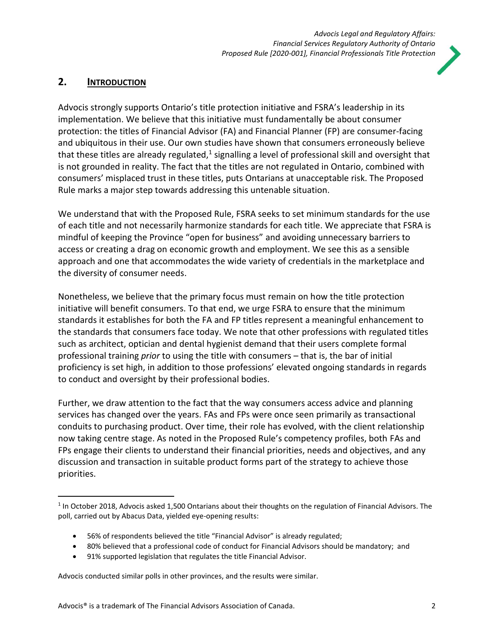

# **2. INTRODUCTION**

Advocis strongly supports Ontario's title protection initiative and FSRA's leadership in its implementation. We believe that this initiative must fundamentally be about consumer protection: the titles of Financial Advisor (FA) and Financial Planner (FP) are consumer-facing and ubiquitous in their use. Our own studies have shown that consumers erroneously believe that these titles are already regulated,<sup>1</sup> signalling a level of professional skill and oversight that is not grounded in reality. The fact that the titles are not regulated in Ontario, combined with consumers' misplaced trust in these titles, puts Ontarians at unacceptable risk. The Proposed Rule marks a major step towards addressing this untenable situation.

We understand that with the Proposed Rule, FSRA seeks to set minimum standards for the use of each title and not necessarily harmonize standards for each title. We appreciate that FSRA is mindful of keeping the Province "open for business" and avoiding unnecessary barriers to access or creating a drag on economic growth and employment. We see this as a sensible approach and one that accommodates the wide variety of credentials in the marketplace and the diversity of consumer needs.

Nonetheless, we believe that the primary focus must remain on how the title protection initiative will benefit consumers. To that end, we urge FSRA to ensure that the minimum standards it establishes for both the FA and FP titles represent a meaningful enhancement to the standards that consumers face today. We note that other professions with regulated titles such as architect, optician and dental hygienist demand that their users complete formal professional training *prior* to using the title with consumers – that is, the bar of initial proficiency is set high, in addition to those professions' elevated ongoing standards in regards to conduct and oversight by their professional bodies.

Further, we draw attention to the fact that the way consumers access advice and planning services has changed over the years. FAs and FPs were once seen primarily as transactional conduits to purchasing product. Over time, their role has evolved, with the client relationship now taking centre stage. As noted in the Proposed Rule's competency profiles, both FAs and FPs engage their clients to understand their financial priorities, needs and objectives, and any discussion and transaction in suitable product forms part of the strategy to achieve those priorities.

- 56% of respondents believed the title "Financial Advisor" is already regulated;
- 80% believed that a professional code of conduct for Financial Advisors should be mandatory; and
- 91% supported legislation that regulates the title Financial Advisor.

Advocis conducted similar polls in other provinces, and the results were similar.

 $<sup>1</sup>$  In October 2018, Advocis asked 1,500 Ontarians about their thoughts on the regulation of Financial Advisors. The</sup> poll, carried out by Abacus Data, yielded eye-opening results: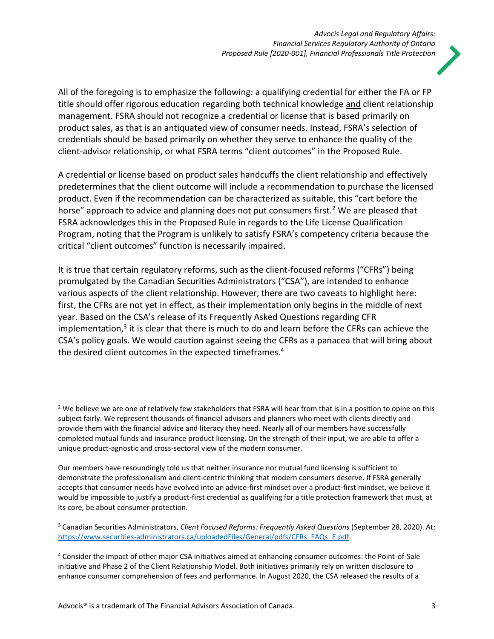

All of the foregoing is to emphasize the following: a qualifying credential for either the FA or FP title should offer rigorous education regarding both technical knowledge and client relationship management. FSRA should not recognize a credential or license that is based primarily on product sales, as that is an antiquated view of consumer needs. Instead, FSRA's selection of credentials should be based primarily on whether they serve to enhance the quality of the client-advisor relationship, or what FSRA terms "client outcomes" in the Proposed Rule.

A credential or license based on product sales handcuffs the client relationship and effectively predetermines that the client outcome will include a recommendation to purchase the licensed product. Even if the recommendation can be characterized as suitable, this "cart before the horse" approach to advice and planning does not put consumers first.<sup>2</sup> We are pleased that FSRA acknowledges this in the Proposed Rule in regards to the Life License Qualification Program, noting that the Program is unlikely to satisfy FSRA's competency criteria because the critical "client outcomes" function is necessarily impaired.

It is true that certain regulatory reforms, such as the client-focused reforms ("CFRs") being promulgated by the Canadian Securities Administrators ("CSA"), are intended to enhance various aspects of the client relationship. However, there are two caveats to highlight here: first, the CFRs are not yet in effect, as their implementation only begins in the middle of next year. Based on the CSA's release of its Frequently Asked Questions regarding CFR implementation,<sup>3</sup> it is clear that there is much to do and learn before the CFRs can achieve the CSA's policy goals. We would caution against seeing the CFRs as a panacea that will bring about the desired client outcomes in the expected timeframes. 4

<sup>&</sup>lt;sup>2</sup> We believe we are one of relatively few stakeholders that FSRA will hear from that is in a position to opine on this subject fairly. We represent thousands of financial advisors and planners who meet with clients directly and provide them with the financial advice and literacy they need. Nearly all of our members have successfully completed mutual funds and insurance product licensing. On the strength of their input, we are able to offer a unique product-agnostic and cross-sectoral view of the modern consumer.

Our members have resoundingly told us that neither insurance nor mutual fund licensing is sufficient to demonstrate the professionalism and client-centric thinking that modern consumers deserve. If FSRA generally accepts that consumer needs have evolved into an advice-first mindset over a product-first mindset, we believe it would be impossible to justify a product-first credential as qualifying for a title protection framework that must, at its core, be about consumer protection.

<sup>3</sup> Canadian Securities Administrators, *Client Focused Reforms: Frequently Asked Questions* (September 28, 2020). At: [https://www.securities-administrators.ca/uploadedFiles/General/pdfs/CFRs\\_FAQs\\_E.pdf.](https://www.securities-administrators.ca/uploadedFiles/General/pdfs/CFRs_FAQs_E.pdf)

<sup>4</sup> Consider the impact of other major CSA initiatives aimed at enhancing consumer outcomes: the Point-of-Sale initiative and Phase 2 of the Client Relationship Model. Both initiatives primarily rely on written disclosure to enhance consumer comprehension of fees and performance. In August 2020, the CSA released the results of a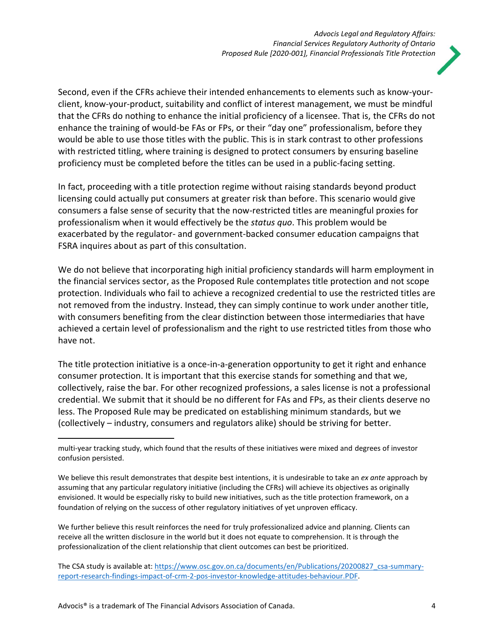

Second, even if the CFRs achieve their intended enhancements to elements such as know-yourclient, know-your-product, suitability and conflict of interest management, we must be mindful that the CFRs do nothing to enhance the initial proficiency of a licensee. That is, the CFRs do not enhance the training of would-be FAs or FPs, or their "day one" professionalism, before they would be able to use those titles with the public. This is in stark contrast to other professions with restricted titling, where training is designed to protect consumers by ensuring baseline proficiency must be completed before the titles can be used in a public-facing setting.

In fact, proceeding with a title protection regime without raising standards beyond product licensing could actually put consumers at greater risk than before. This scenario would give consumers a false sense of security that the now-restricted titles are meaningful proxies for professionalism when it would effectively be the *status quo*. This problem would be exacerbated by the regulator- and government-backed consumer education campaigns that FSRA inquires about as part of this consultation.

We do not believe that incorporating high initial proficiency standards will harm employment in the financial services sector, as the Proposed Rule contemplates title protection and not scope protection. Individuals who fail to achieve a recognized credential to use the restricted titles are not removed from the industry. Instead, they can simply continue to work under another title, with consumers benefiting from the clear distinction between those intermediaries that have achieved a certain level of professionalism and the right to use restricted titles from those who have not.

The title protection initiative is a once-in-a-generation opportunity to get it right and enhance consumer protection. It is important that this exercise stands for something and that we, collectively, raise the bar. For other recognized professions, a sales license is not a professional credential. We submit that it should be no different for FAs and FPs, as their clients deserve no less. The Proposed Rule may be predicated on establishing minimum standards, but we (collectively – industry, consumers and regulators alike) should be striving for better.

We further believe this result reinforces the need for truly professionalized advice and planning. Clients can receive all the written disclosure in the world but it does not equate to comprehension. It is through the professionalization of the client relationship that client outcomes can best be prioritized.

multi-year tracking study, which found that the results of these initiatives were mixed and degrees of investor confusion persisted.

We believe this result demonstrates that despite best intentions, it is undesirable to take an *ex ante* approach by assuming that any particular regulatory initiative (including the CFRs) will achieve its objectives as originally envisioned. It would be especially risky to build new initiatives, such as the title protection framework, on a foundation of relying on the success of other regulatory initiatives of yet unproven efficacy.

The CSA study is available at[: https://www.osc.gov.on.ca/documents/en/Publications/20200827\\_csa-summary](https://www.osc.gov.on.ca/documents/en/Publications/20200827_csa-summary-report-research-findings-impact-of-crm-2-pos-investor-knowledge-attitudes-behaviour.PDF)[report-research-findings-impact-of-crm-2-pos-investor-knowledge-attitudes-behaviour.PDF.](https://www.osc.gov.on.ca/documents/en/Publications/20200827_csa-summary-report-research-findings-impact-of-crm-2-pos-investor-knowledge-attitudes-behaviour.PDF)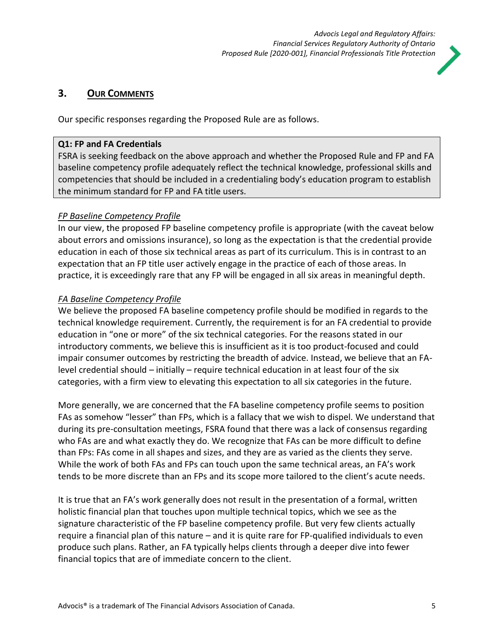

## **3. OUR COMMENTS**

Our specific responses regarding the Proposed Rule are as follows.

### **Q1: FP and FA Credentials**

FSRA is seeking feedback on the above approach and whether the Proposed Rule and FP and FA baseline competency profile adequately reflect the technical knowledge, professional skills and competencies that should be included in a credentialing body's education program to establish the minimum standard for FP and FA title users.

# *FP Baseline Competency Profile*

In our view, the proposed FP baseline competency profile is appropriate (with the caveat below about errors and omissions insurance), so long as the expectation is that the credential provide education in each of those six technical areas as part of its curriculum. This is in contrast to an expectation that an FP title user actively engage in the practice of each of those areas. In practice, it is exceedingly rare that any FP will be engaged in all six areas in meaningful depth.

# *FA Baseline Competency Profile*

We believe the proposed FA baseline competency profile should be modified in regards to the technical knowledge requirement. Currently, the requirement is for an FA credential to provide education in "one or more" of the six technical categories. For the reasons stated in our introductory comments, we believe this is insufficient as it is too product-focused and could impair consumer outcomes by restricting the breadth of advice. Instead, we believe that an FAlevel credential should – initially – require technical education in at least four of the six categories, with a firm view to elevating this expectation to all six categories in the future.

More generally, we are concerned that the FA baseline competency profile seems to position FAs as somehow "lesser" than FPs, which is a fallacy that we wish to dispel. We understand that during its pre-consultation meetings, FSRA found that there was a lack of consensus regarding who FAs are and what exactly they do. We recognize that FAs can be more difficult to define than FPs: FAs come in all shapes and sizes, and they are as varied as the clients they serve. While the work of both FAs and FPs can touch upon the same technical areas, an FA's work tends to be more discrete than an FPs and its scope more tailored to the client's acute needs.

It is true that an FA's work generally does not result in the presentation of a formal, written holistic financial plan that touches upon multiple technical topics, which we see as the signature characteristic of the FP baseline competency profile. But very few clients actually require a financial plan of this nature – and it is quite rare for FP-qualified individuals to even produce such plans. Rather, an FA typically helps clients through a deeper dive into fewer financial topics that are of immediate concern to the client.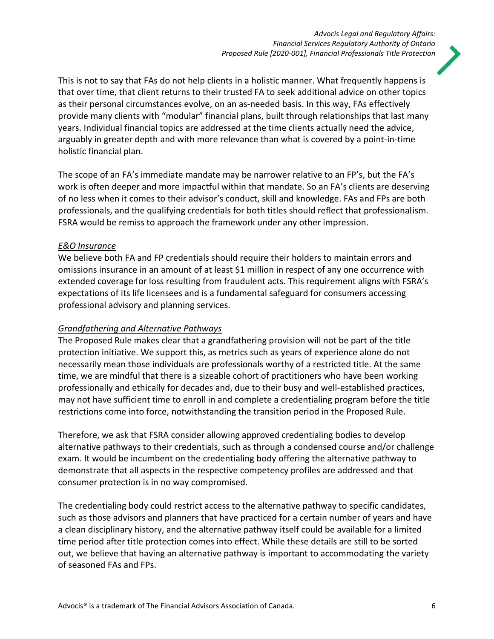

This is not to say that FAs do not help clients in a holistic manner. What frequently happens is that over time, that client returns to their trusted FA to seek additional advice on other topics as their personal circumstances evolve, on an as-needed basis. In this way, FAs effectively provide many clients with "modular" financial plans, built through relationships that last many years. Individual financial topics are addressed at the time clients actually need the advice, arguably in greater depth and with more relevance than what is covered by a point-in-time holistic financial plan.

The scope of an FA's immediate mandate may be narrower relative to an FP's, but the FA's work is often deeper and more impactful within that mandate. So an FA's clients are deserving of no less when it comes to their advisor's conduct, skill and knowledge. FAs and FPs are both professionals, and the qualifying credentials for both titles should reflect that professionalism. FSRA would be remiss to approach the framework under any other impression.

### *E&O Insurance*

We believe both FA and FP credentials should require their holders to maintain errors and omissions insurance in an amount of at least \$1 million in respect of any one occurrence with extended coverage for loss resulting from fraudulent acts. This requirement aligns with FSRA's expectations of its life licensees and is a fundamental safeguard for consumers accessing professional advisory and planning services.

### *Grandfathering and Alternative Pathways*

The Proposed Rule makes clear that a grandfathering provision will not be part of the title protection initiative. We support this, as metrics such as years of experience alone do not necessarily mean those individuals are professionals worthy of a restricted title. At the same time, we are mindful that there is a sizeable cohort of practitioners who have been working professionally and ethically for decades and, due to their busy and well-established practices, may not have sufficient time to enroll in and complete a credentialing program before the title restrictions come into force, notwithstanding the transition period in the Proposed Rule.

Therefore, we ask that FSRA consider allowing approved credentialing bodies to develop alternative pathways to their credentials, such as through a condensed course and/or challenge exam. It would be incumbent on the credentialing body offering the alternative pathway to demonstrate that all aspects in the respective competency profiles are addressed and that consumer protection is in no way compromised.

The credentialing body could restrict access to the alternative pathway to specific candidates, such as those advisors and planners that have practiced for a certain number of years and have a clean disciplinary history, and the alternative pathway itself could be available for a limited time period after title protection comes into effect. While these details are still to be sorted out, we believe that having an alternative pathway is important to accommodating the variety of seasoned FAs and FPs.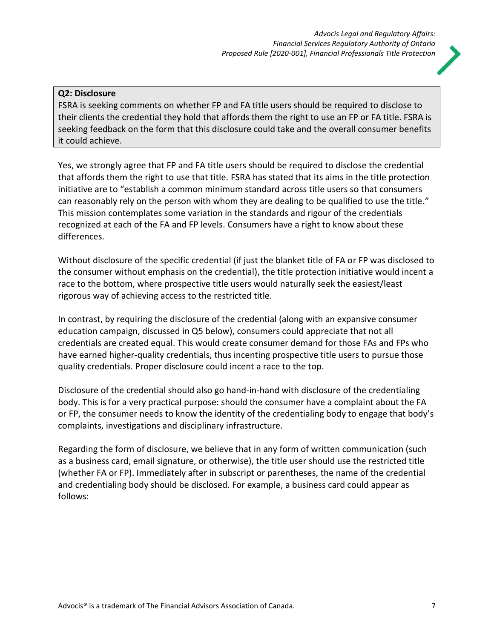### **Q2: Disclosure**

FSRA is seeking comments on whether FP and FA title users should be required to disclose to their clients the credential they hold that affords them the right to use an FP or FA title. FSRA is seeking feedback on the form that this disclosure could take and the overall consumer benefits it could achieve.

Yes, we strongly agree that FP and FA title users should be required to disclose the credential that affords them the right to use that title. FSRA has stated that its aims in the title protection initiative are to "establish a common minimum standard across title users so that consumers can reasonably rely on the person with whom they are dealing to be qualified to use the title." This mission contemplates some variation in the standards and rigour of the credentials recognized at each of the FA and FP levels. Consumers have a right to know about these differences.

Without disclosure of the specific credential (if just the blanket title of FA or FP was disclosed to the consumer without emphasis on the credential), the title protection initiative would incent a race to the bottom, where prospective title users would naturally seek the easiest/least rigorous way of achieving access to the restricted title.

In contrast, by requiring the disclosure of the credential (along with an expansive consumer education campaign, discussed in Q5 below), consumers could appreciate that not all credentials are created equal. This would create consumer demand for those FAs and FPs who have earned higher-quality credentials, thus incenting prospective title users to pursue those quality credentials. Proper disclosure could incent a race to the top.

Disclosure of the credential should also go hand-in-hand with disclosure of the credentialing body. This is for a very practical purpose: should the consumer have a complaint about the FA or FP, the consumer needs to know the identity of the credentialing body to engage that body's complaints, investigations and disciplinary infrastructure.

Regarding the form of disclosure, we believe that in any form of written communication (such as a business card, email signature, or otherwise), the title user should use the restricted title (whether FA or FP). Immediately after in subscript or parentheses, the name of the credential and credentialing body should be disclosed. For example, a business card could appear as follows: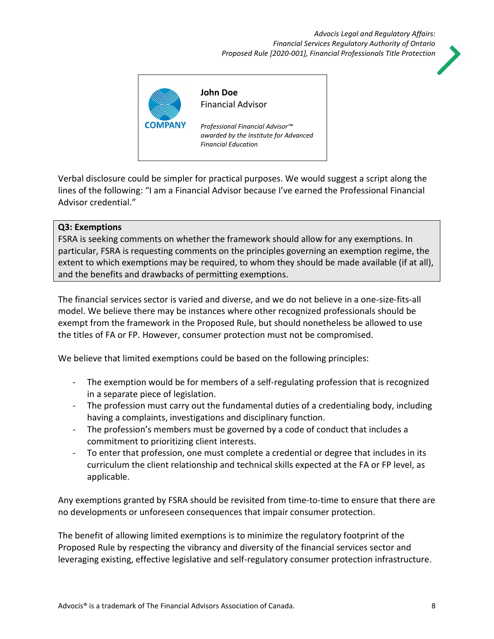### *Advocis Legal and Regulatory Affairs: Financial Services Regulatory Authority of Ontario Proposed Rule [2020-001], Financial Professionals Title Protection*





Verbal disclosure could be simpler for practical purposes. We would suggest a script along the lines of the following: "I am a Financial Advisor because I've earned the Professional Financial Advisor credential."

### **Q3: Exemptions**

FSRA is seeking comments on whether the framework should allow for any exemptions. In particular, FSRA is requesting comments on the principles governing an exemption regime, the extent to which exemptions may be required, to whom they should be made available (if at all), and the benefits and drawbacks of permitting exemptions.

The financial services sector is varied and diverse, and we do not believe in a one-size-fits-all model. We believe there may be instances where other recognized professionals should be exempt from the framework in the Proposed Rule, but should nonetheless be allowed to use the titles of FA or FP. However, consumer protection must not be compromised.

We believe that limited exemptions could be based on the following principles:

- The exemption would be for members of a self-regulating profession that is recognized in a separate piece of legislation.
- The profession must carry out the fundamental duties of a credentialing body, including having a complaints, investigations and disciplinary function.
- The profession's members must be governed by a code of conduct that includes a commitment to prioritizing client interests.
- To enter that profession, one must complete a credential or degree that includes in its curriculum the client relationship and technical skills expected at the FA or FP level, as applicable.

Any exemptions granted by FSRA should be revisited from time-to-time to ensure that there are no developments or unforeseen consequences that impair consumer protection.

The benefit of allowing limited exemptions is to minimize the regulatory footprint of the Proposed Rule by respecting the vibrancy and diversity of the financial services sector and leveraging existing, effective legislative and self-regulatory consumer protection infrastructure.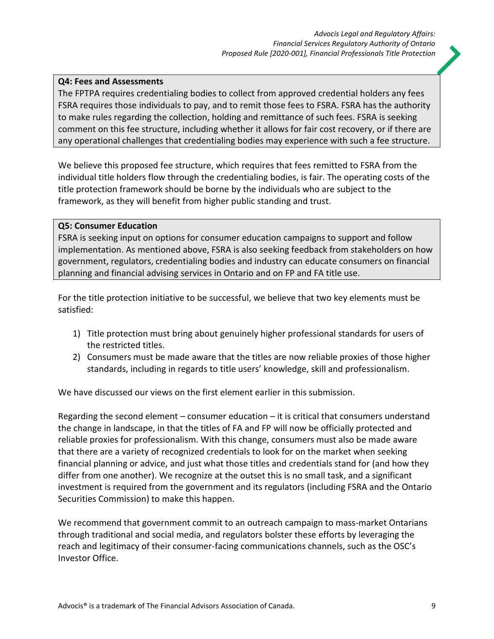### **Q4: Fees and Assessments**

The FPTPA requires credentialing bodies to collect from approved credential holders any fees FSRA requires those individuals to pay, and to remit those fees to FSRA. FSRA has the authority to make rules regarding the collection, holding and remittance of such fees. FSRA is seeking comment on this fee structure, including whether it allows for fair cost recovery, or if there are any operational challenges that credentialing bodies may experience with such a fee structure.

We believe this proposed fee structure, which requires that fees remitted to FSRA from the individual title holders flow through the credentialing bodies, is fair. The operating costs of the title protection framework should be borne by the individuals who are subject to the framework, as they will benefit from higher public standing and trust.

### **Q5: Consumer Education**

FSRA is seeking input on options for consumer education campaigns to support and follow implementation. As mentioned above, FSRA is also seeking feedback from stakeholders on how government, regulators, credentialing bodies and industry can educate consumers on financial planning and financial advising services in Ontario and on FP and FA title use.

For the title protection initiative to be successful, we believe that two key elements must be satisfied:

- 1) Title protection must bring about genuinely higher professional standards for users of the restricted titles.
- 2) Consumers must be made aware that the titles are now reliable proxies of those higher standards, including in regards to title users' knowledge, skill and professionalism.

We have discussed our views on the first element earlier in this submission.

Regarding the second element – consumer education – it is critical that consumers understand the change in landscape, in that the titles of FA and FP will now be officially protected and reliable proxies for professionalism. With this change, consumers must also be made aware that there are a variety of recognized credentials to look for on the market when seeking financial planning or advice, and just what those titles and credentials stand for (and how they differ from one another). We recognize at the outset this is no small task, and a significant investment is required from the government and its regulators (including FSRA and the Ontario Securities Commission) to make this happen.

We recommend that government commit to an outreach campaign to mass-market Ontarians through traditional and social media, and regulators bolster these efforts by leveraging the reach and legitimacy of their consumer-facing communications channels, such as the OSC's Investor Office.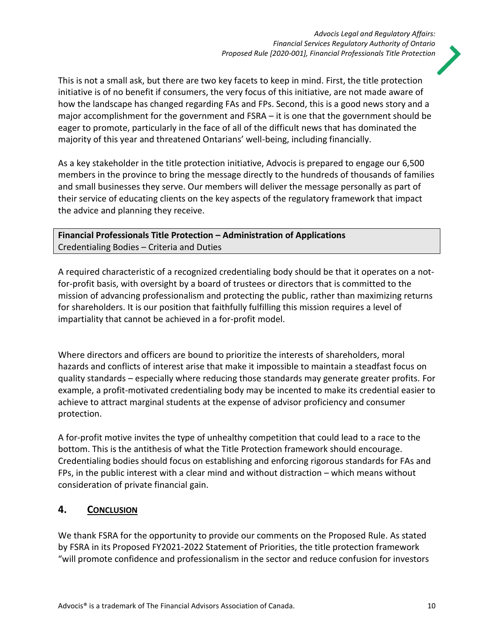

This is not a small ask, but there are two key facets to keep in mind. First, the title protection initiative is of no benefit if consumers, the very focus of this initiative, are not made aware of how the landscape has changed regarding FAs and FPs. Second, this is a good news story and a major accomplishment for the government and FSRA – it is one that the government should be eager to promote, particularly in the face of all of the difficult news that has dominated the majority of this year and threatened Ontarians' well-being, including financially.

As a key stakeholder in the title protection initiative, Advocis is prepared to engage our 6,500 members in the province to bring the message directly to the hundreds of thousands of families and small businesses they serve. Our members will deliver the message personally as part of their service of educating clients on the key aspects of the regulatory framework that impact the advice and planning they receive.

## **Financial Professionals Title Protection – Administration of Applications** Credentialing Bodies – Criteria and Duties

A required characteristic of a recognized credentialing body should be that it operates on a notfor-profit basis, with oversight by a board of trustees or directors that is committed to the mission of advancing professionalism and protecting the public, rather than maximizing returns for shareholders. It is our position that faithfully fulfilling this mission requires a level of impartiality that cannot be achieved in a for-profit model.

Where directors and officers are bound to prioritize the interests of shareholders, moral hazards and conflicts of interest arise that make it impossible to maintain a steadfast focus on quality standards – especially where reducing those standards may generate greater profits. For example, a profit-motivated credentialing body may be incented to make its credential easier to achieve to attract marginal students at the expense of advisor proficiency and consumer protection.

A for-profit motive invites the type of unhealthy competition that could lead to a race to the bottom. This is the antithesis of what the Title Protection framework should encourage. Credentialing bodies should focus on establishing and enforcing rigorous standards for FAs and FPs, in the public interest with a clear mind and without distraction – which means without consideration of private financial gain.

# **4. CONCLUSION**

We thank FSRA for the opportunity to provide our comments on the Proposed Rule. As stated by FSRA in its Proposed FY2021-2022 Statement of Priorities, the title protection framework "will promote confidence and professionalism in the sector and reduce confusion for investors